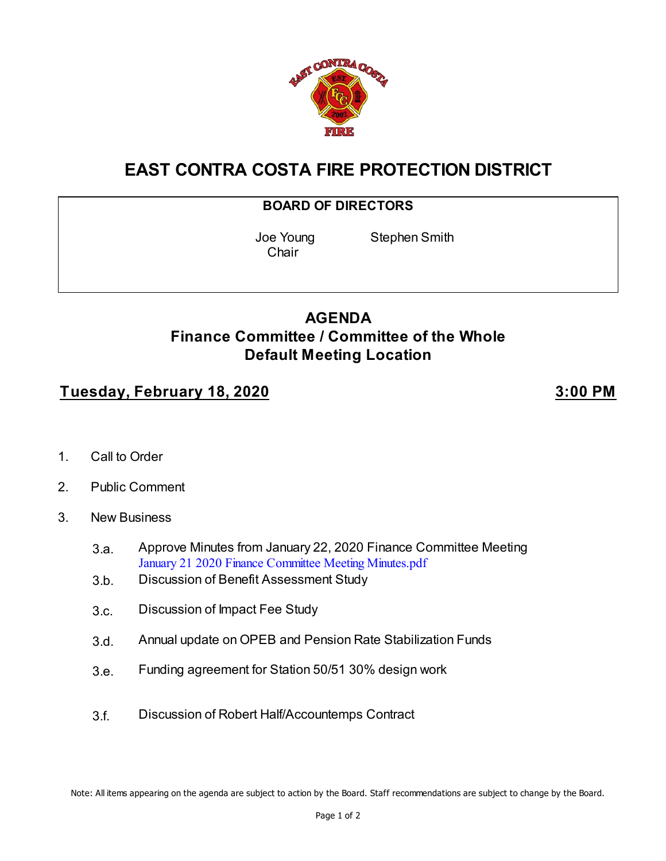

# **EAST CONTRA COSTA FIRE PROTECTION DISTRICT**

#### **BOARD OF DIRECTORS**

**Chair** 

Joe Young Stephen Smith

## **AGENDA Finance Committee / Committee of the Whole Default Meeting Location**

### **Tuesday, February 18, 2020 3:00 PM**

- 1. Call to Order
- 2. Public Comment
- 3. New Business
	- 3.a. Approve Minutes from January 22, 2020 Finance Committee Meeting [January 21 2020 Finance Committee Meeting Minutes.pdf](https://legistarweb-production.s3.amazonaws.com/uploads/attachment/pdf/533206/January_21_2020_Finance_Committee_Meeting_Minutes.pdf)
	- 3.b. Discussion of Benefit Assessment Study
	- 3.c. Discussion of Impact Fee Study
	- 3.d. Annual update on OPEB and Pension Rate Stabilization Funds
	- 3.e. Funding agreement for Station 50/51 30% design work
	- 3.f. Discussion of Robert Half/Accountemps Contract

Note: All items appearing on the agenda are subject to action by the Board. Staff recommendations are subject to change by the Board.